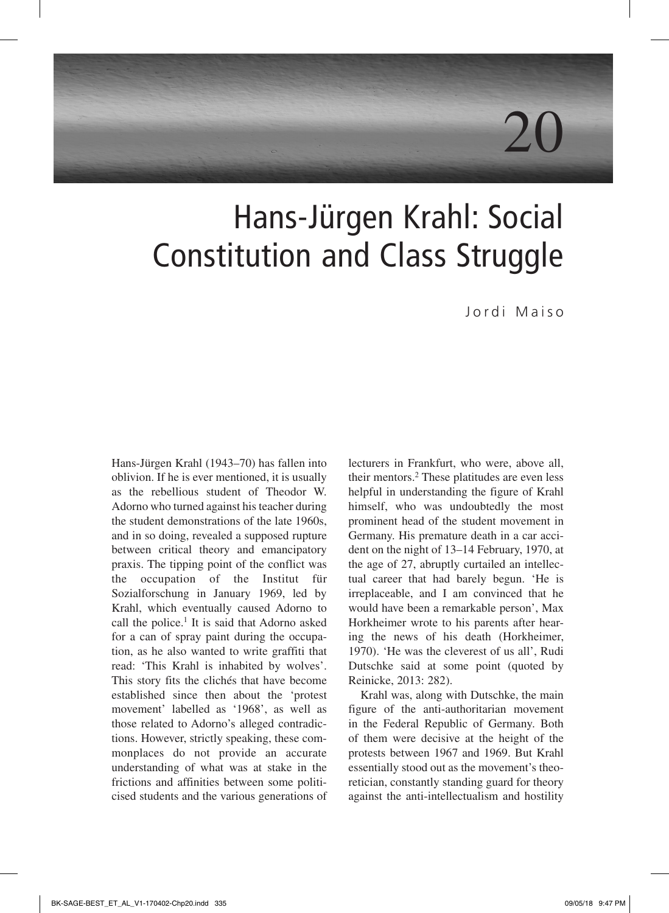# 20

## Hans-Jürgen Krahl: Social Constitution and Class Struggle

Jordi Maiso

Hans-Jürgen Krahl (1943–70) has fallen into oblivion. If he is ever mentioned, it is usually as the rebellious student of Theodor W. Adorno who turned against his teacher during the student demonstrations of the late 1960s, and in so doing, revealed a supposed rupture between critical theory and emancipatory praxis. The tipping point of the conflict was the occupation of the Institut für Sozialforschung in January 1969, led by Krahl, which eventually caused Adorno to call the police.<sup>1</sup> It is said that Adorno asked for a can of spray paint during the occupation, as he also wanted to write graffiti that read: 'This Krahl is inhabited by wolves'. This story fits the clichés that have become established since then about the 'protest movement' labelled as '1968', as well as those related to Adorno's alleged contradictions. However, strictly speaking, these commonplaces do not provide an accurate understanding of what was at stake in the frictions and affinities between some politicised students and the various generations of

lecturers in Frankfurt, who were, above all, their mentors.2 These platitudes are even less helpful in understanding the figure of Krahl himself, who was undoubtedly the most prominent head of the student movement in Germany. His premature death in a car accident on the night of 13–14 February, 1970, at the age of 27, abruptly curtailed an intellectual career that had barely begun. 'He is irreplaceable, and I am convinced that he would have been a remarkable person', Max Horkheimer wrote to his parents after hearing the news of his death (Horkheimer, 1970). 'He was the cleverest of us all', Rudi Dutschke said at some point (quoted by Reinicke, 2013: 282).

Krahl was, along with Dutschke, the main figure of the anti-authoritarian movement in the Federal Republic of Germany. Both of them were decisive at the height of the protests between 1967 and 1969. But Krahl essentially stood out as the movement's theoretician, constantly standing guard for theory against the anti-intellectualism and hostility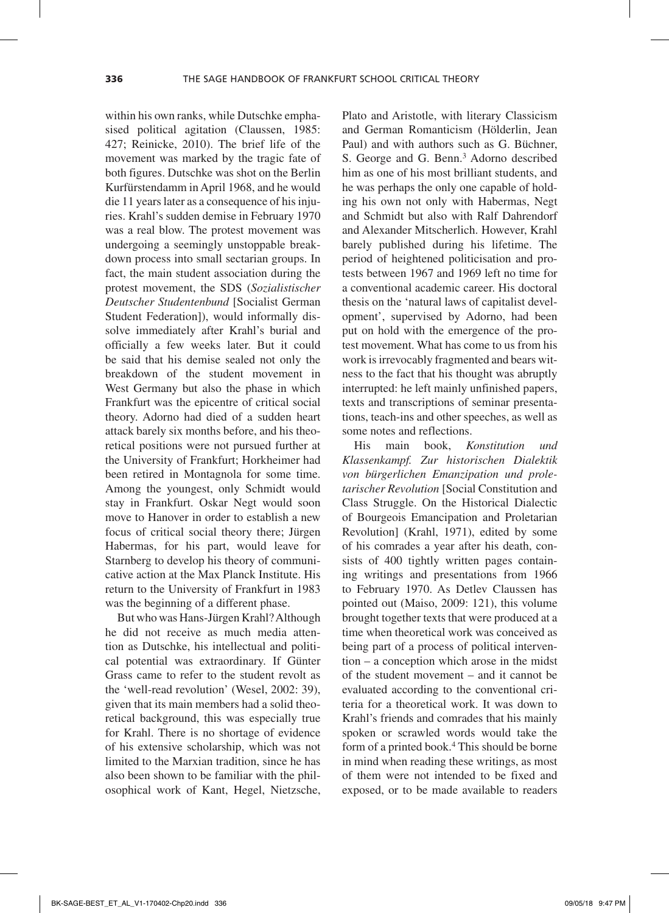within his own ranks, while Dutschke emphasised political agitation (Claussen, 1985: 427; Reinicke, 2010). The brief life of the movement was marked by the tragic fate of both figures. Dutschke was shot on the Berlin Kurfürstendamm in April 1968, and he would die 11 years later as a consequence of his injuries. Krahl's sudden demise in February 1970 was a real blow. The protest movement was undergoing a seemingly unstoppable breakdown process into small sectarian groups. In fact, the main student association during the protest movement, the SDS (*Sozialistischer Deutscher Studentenbund* [Socialist German Student Federation]), would informally dissolve immediately after Krahl's burial and officially a few weeks later. But it could be said that his demise sealed not only the breakdown of the student movement in West Germany but also the phase in which Frankfurt was the epicentre of critical social theory. Adorno had died of a sudden heart attack barely six months before, and his theoretical positions were not pursued further at the University of Frankfurt; Horkheimer had been retired in Montagnola for some time. Among the youngest, only Schmidt would stay in Frankfurt. Oskar Negt would soon move to Hanover in order to establish a new focus of critical social theory there; Jürgen Habermas, for his part, would leave for Starnberg to develop his theory of communicative action at the Max Planck Institute. His return to the University of Frankfurt in 1983 was the beginning of a different phase.

But who was Hans-Jürgen Krahl? Although he did not receive as much media attention as Dutschke, his intellectual and political potential was extraordinary. If Günter Grass came to refer to the student revolt as the 'well-read revolution' (Wesel, 2002: 39), given that its main members had a solid theoretical background, this was especially true for Krahl. There is no shortage of evidence of his extensive scholarship, which was not limited to the Marxian tradition, since he has also been shown to be familiar with the philosophical work of Kant, Hegel, Nietzsche,

Plato and Aristotle, with literary Classicism and German Romanticism (Hölderlin, Jean Paul) and with authors such as G. Büchner, S. George and G. Benn.<sup>3</sup> Adorno described him as one of his most brilliant students, and he was perhaps the only one capable of holding his own not only with Habermas, Negt and Schmidt but also with Ralf Dahrendorf and Alexander Mitscherlich. However, Krahl barely published during his lifetime. The period of heightened politicisation and protests between 1967 and 1969 left no time for a conventional academic career. His doctoral thesis on the 'natural laws of capitalist development', supervised by Adorno, had been put on hold with the emergence of the protest movement. What has come to us from his work is irrevocably fragmented and bears witness to the fact that his thought was abruptly interrupted: he left mainly unfinished papers, texts and transcriptions of seminar presentations, teach-ins and other speeches, as well as some notes and reflections.

His main book, *Konstitution und Klassenkampf. Zur historischen Dialektik von bürgerlichen Emanzipation und proletarischer Revolution* [Social Constitution and Class Struggle. On the Historical Dialectic of Bourgeois Emancipation and Proletarian Revolution] (Krahl, 1971), edited by some of his comrades a year after his death, consists of 400 tightly written pages containing writings and presentations from 1966 to February 1970. As Detlev Claussen has pointed out (Maiso, 2009: 121), this volume brought together texts that were produced at a time when theoretical work was conceived as being part of a process of political intervention – a conception which arose in the midst of the student movement – and it cannot be evaluated according to the conventional criteria for a theoretical work. It was down to Krahl's friends and comrades that his mainly spoken or scrawled words would take the form of a printed book.<sup>4</sup> This should be borne in mind when reading these writings, as most of them were not intended to be fixed and exposed, or to be made available to readers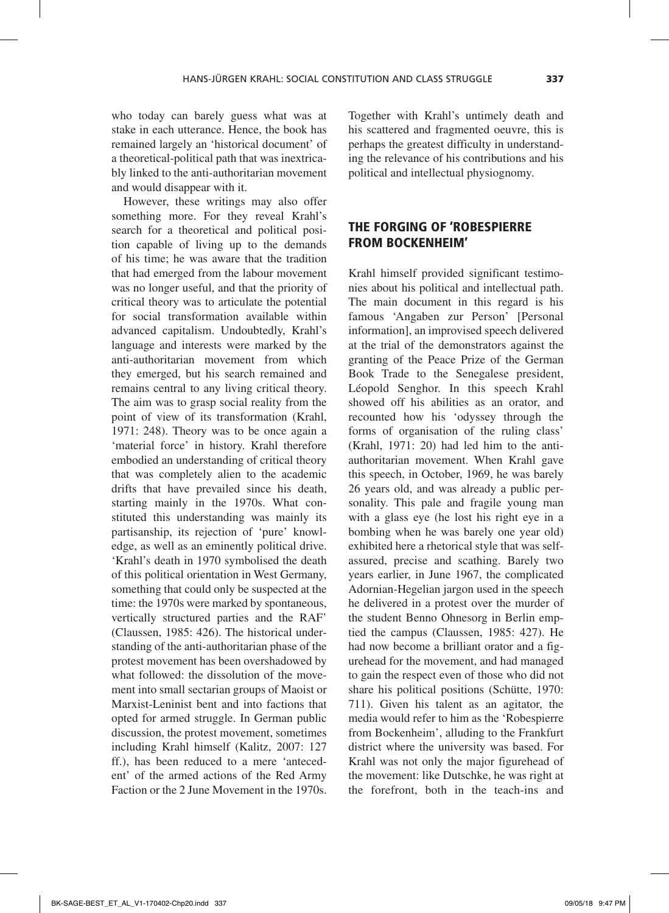who today can barely guess what was at stake in each utterance. Hence, the book has remained largely an 'historical document' of a theoretical-political path that was inextricably linked to the anti-authoritarian movement and would disappear with it.

However, these writings may also offer something more. For they reveal Krahl's search for a theoretical and political position capable of living up to the demands of his time; he was aware that the tradition that had emerged from the labour movement was no longer useful, and that the priority of critical theory was to articulate the potential for social transformation available within advanced capitalism. Undoubtedly, Krahl's language and interests were marked by the anti-authoritarian movement from which they emerged, but his search remained and remains central to any living critical theory. The aim was to grasp social reality from the point of view of its transformation (Krahl, 1971: 248). Theory was to be once again a 'material force' in history. Krahl therefore embodied an understanding of critical theory that was completely alien to the academic drifts that have prevailed since his death, starting mainly in the 1970s. What constituted this understanding was mainly its partisanship, its rejection of 'pure' knowledge, as well as an eminently political drive. 'Krahl's death in 1970 symbolised the death of this political orientation in West Germany, something that could only be suspected at the time: the 1970s were marked by spontaneous, vertically structured parties and the RAF' (Claussen, 1985: 426). The historical understanding of the anti-authoritarian phase of the protest movement has been overshadowed by what followed: the dissolution of the movement into small sectarian groups of Maoist or Marxist-Leninist bent and into factions that opted for armed struggle. In German public discussion, the protest movement, sometimes including Krahl himself (Kalitz, 2007: 127 ff.), has been reduced to a mere 'antecedent' of the armed actions of the Red Army Faction or the 2 June Movement in the 1970s. Together with Krahl's untimely death and his scattered and fragmented oeuvre, this is perhaps the greatest difficulty in understanding the relevance of his contributions and his political and intellectual physiognomy.

#### The forging of 'Robespierre from Bockenheim'

Krahl himself provided significant testimonies about his political and intellectual path. The main document in this regard is his famous 'Angaben zur Person' [Personal information], an improvised speech delivered at the trial of the demonstrators against the granting of the Peace Prize of the German Book Trade to the Senegalese president, Léopold Senghor. In this speech Krahl showed off his abilities as an orator, and recounted how his 'odyssey through the forms of organisation of the ruling class' (Krahl, 1971: 20) had led him to the antiauthoritarian movement. When Krahl gave this speech, in October, 1969, he was barely 26 years old, and was already a public personality. This pale and fragile young man with a glass eye (he lost his right eye in a bombing when he was barely one year old) exhibited here a rhetorical style that was selfassured, precise and scathing. Barely two years earlier, in June 1967, the complicated Adornian-Hegelian jargon used in the speech he delivered in a protest over the murder of the student Benno Ohnesorg in Berlin emptied the campus (Claussen, 1985: 427). He had now become a brilliant orator and a figurehead for the movement, and had managed to gain the respect even of those who did not share his political positions (Schütte, 1970: 711). Given his talent as an agitator, the media would refer to him as the 'Robespierre from Bockenheim', alluding to the Frankfurt district where the university was based. For Krahl was not only the major figurehead of the movement: like Dutschke, he was right at the forefront, both in the teach-ins and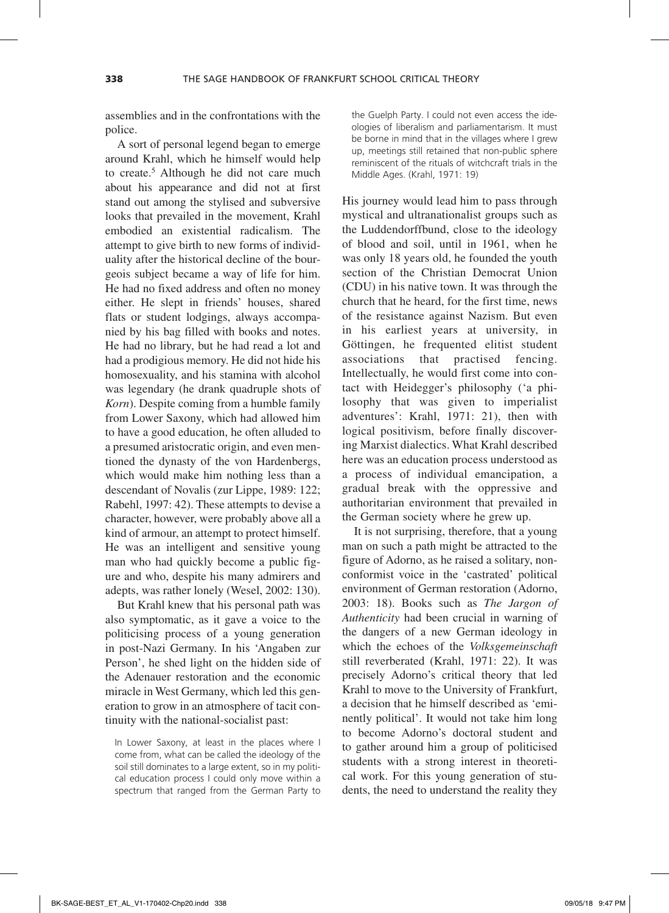assemblies and in the confrontations with the police.

A sort of personal legend began to emerge around Krahl, which he himself would help to create.<sup>5</sup> Although he did not care much about his appearance and did not at first stand out among the stylised and subversive looks that prevailed in the movement, Krahl embodied an existential radicalism. The attempt to give birth to new forms of individuality after the historical decline of the bourgeois subject became a way of life for him. He had no fixed address and often no money either. He slept in friends' houses, shared flats or student lodgings, always accompanied by his bag filled with books and notes. He had no library, but he had read a lot and had a prodigious memory. He did not hide his homosexuality, and his stamina with alcohol was legendary (he drank quadruple shots of *Korn*). Despite coming from a humble family from Lower Saxony, which had allowed him to have a good education, he often alluded to a presumed aristocratic origin, and even mentioned the dynasty of the von Hardenbergs, which would make him nothing less than a descendant of Novalis (zur Lippe, 1989: 122; Rabehl, 1997: 42). These attempts to devise a character, however, were probably above all a kind of armour, an attempt to protect himself. He was an intelligent and sensitive young man who had quickly become a public figure and who, despite his many admirers and adepts, was rather lonely (Wesel, 2002: 130).

But Krahl knew that his personal path was also symptomatic, as it gave a voice to the politicising process of a young generation in post-Nazi Germany. In his 'Angaben zur Person', he shed light on the hidden side of the Adenauer restoration and the economic miracle in West Germany, which led this generation to grow in an atmosphere of tacit continuity with the national-socialist past:

In Lower Saxony, at least in the places where I come from, what can be called the ideology of the soil still dominates to a large extent, so in my political education process I could only move within a spectrum that ranged from the German Party to

the Guelph Party. I could not even access the ideologies of liberalism and parliamentarism. It must be borne in mind that in the villages where I grew up, meetings still retained that non-public sphere reminiscent of the rituals of witchcraft trials in the Middle Ages. (Krahl, 1971: 19)

His journey would lead him to pass through mystical and ultranationalist groups such as the Luddendorffbund, close to the ideology of blood and soil, until in 1961, when he was only 18 years old, he founded the youth section of the Christian Democrat Union (CDU) in his native town. It was through the church that he heard, for the first time, news of the resistance against Nazism. But even in his earliest years at university, in Göttingen, he frequented elitist student associations that practised fencing. Intellectually, he would first come into contact with Heidegger's philosophy ('a philosophy that was given to imperialist adventures': Krahl, 1971: 21), then with logical positivism, before finally discovering Marxist dialectics. What Krahl described here was an education process understood as a process of individual emancipation, a gradual break with the oppressive and authoritarian environment that prevailed in the German society where he grew up.

It is not surprising, therefore, that a young man on such a path might be attracted to the figure of Adorno, as he raised a solitary, nonconformist voice in the 'castrated' political environment of German restoration (Adorno, 2003: 18). Books such as *The Jargon of Authenticity* had been crucial in warning of the dangers of a new German ideology in which the echoes of the *Volksgemeinschaft* still reverberated (Krahl, 1971: 22). It was precisely Adorno's critical theory that led Krahl to move to the University of Frankfurt, a decision that he himself described as 'eminently political'. It would not take him long to become Adorno's doctoral student and to gather around him a group of politicised students with a strong interest in theoretical work. For this young generation of students, the need to understand the reality they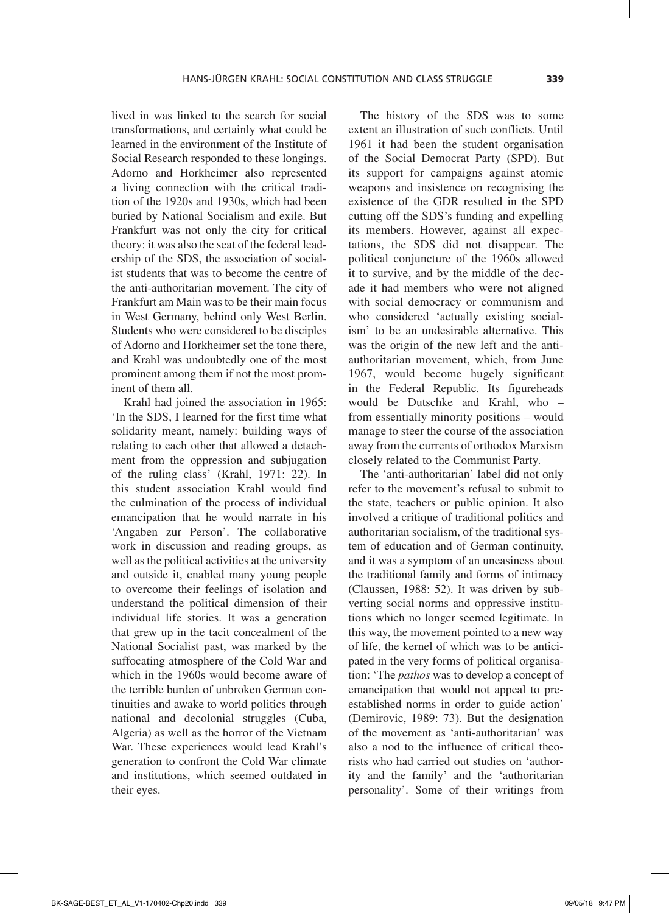lived in was linked to the search for social transformations, and certainly what could be learned in the environment of the Institute of Social Research responded to these longings. Adorno and Horkheimer also represented a living connection with the critical tradition of the 1920s and 1930s, which had been buried by National Socialism and exile. But Frankfurt was not only the city for critical theory: it was also the seat of the federal leadership of the SDS, the association of socialist students that was to become the centre of the anti-authoritarian movement. The city of Frankfurt am Main was to be their main focus in West Germany, behind only West Berlin. Students who were considered to be disciples of Adorno and Horkheimer set the tone there, and Krahl was undoubtedly one of the most prominent among them if not the most prominent of them all.

Krahl had joined the association in 1965: 'In the SDS, I learned for the first time what solidarity meant, namely: building ways of relating to each other that allowed a detachment from the oppression and subjugation of the ruling class' (Krahl, 1971: 22). In this student association Krahl would find the culmination of the process of individual emancipation that he would narrate in his 'Angaben zur Person'. The collaborative work in discussion and reading groups, as well as the political activities at the university and outside it, enabled many young people to overcome their feelings of isolation and understand the political dimension of their individual life stories. It was a generation that grew up in the tacit concealment of the National Socialist past, was marked by the suffocating atmosphere of the Cold War and which in the 1960s would become aware of the terrible burden of unbroken German continuities and awake to world politics through national and decolonial struggles (Cuba, Algeria) as well as the horror of the Vietnam War. These experiences would lead Krahl's generation to confront the Cold War climate and institutions, which seemed outdated in their eyes.

The history of the SDS was to some extent an illustration of such conflicts. Until 1961 it had been the student organisation of the Social Democrat Party (SPD). But its support for campaigns against atomic weapons and insistence on recognising the existence of the GDR resulted in the SPD cutting off the SDS's funding and expelling its members. However, against all expectations, the SDS did not disappear. The political conjuncture of the 1960s allowed it to survive, and by the middle of the decade it had members who were not aligned with social democracy or communism and who considered 'actually existing socialism' to be an undesirable alternative. This was the origin of the new left and the antiauthoritarian movement, which, from June 1967, would become hugely significant in the Federal Republic. Its figureheads would be Dutschke and Krahl, who – from essentially minority positions – would manage to steer the course of the association away from the currents of orthodox Marxism closely related to the Communist Party.

The 'anti-authoritarian' label did not only refer to the movement's refusal to submit to the state, teachers or public opinion. It also involved a critique of traditional politics and authoritarian socialism, of the traditional system of education and of German continuity, and it was a symptom of an uneasiness about the traditional family and forms of intimacy (Claussen, 1988: 52). It was driven by subverting social norms and oppressive institutions which no longer seemed legitimate. In this way, the movement pointed to a new way of life, the kernel of which was to be anticipated in the very forms of political organisation: 'The *pathos* was to develop a concept of emancipation that would not appeal to preestablished norms in order to guide action' (Demirovic, 1989: 73). But the designation of the movement as 'anti-authoritarian' was also a nod to the influence of critical theorists who had carried out studies on 'authority and the family' and the 'authoritarian personality'. Some of their writings from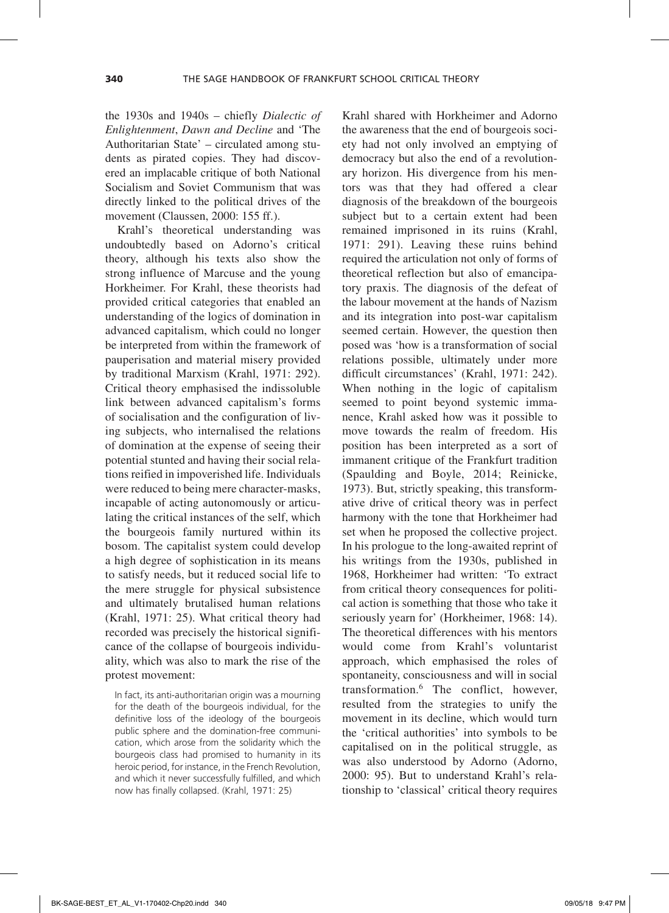the 1930s and 1940s – chiefly *Dialectic of Enlightenment*, *Dawn and Decline* and 'The Authoritarian State' – circulated among students as pirated copies. They had discovered an implacable critique of both National Socialism and Soviet Communism that was directly linked to the political drives of the movement (Claussen, 2000: 155 ff.).

Krahl's theoretical understanding was undoubtedly based on Adorno's critical theory, although his texts also show the strong influence of Marcuse and the young Horkheimer. For Krahl, these theorists had provided critical categories that enabled an understanding of the logics of domination in advanced capitalism, which could no longer be interpreted from within the framework of pauperisation and material misery provided by traditional Marxism (Krahl, 1971: 292). Critical theory emphasised the indissoluble link between advanced capitalism's forms of socialisation and the configuration of living subjects, who internalised the relations of domination at the expense of seeing their potential stunted and having their social relations reified in impoverished life. Individuals were reduced to being mere character-masks, incapable of acting autonomously or articulating the critical instances of the self, which the bourgeois family nurtured within its bosom. The capitalist system could develop a high degree of sophistication in its means to satisfy needs, but it reduced social life to the mere struggle for physical subsistence and ultimately brutalised human relations (Krahl, 1971: 25). What critical theory had recorded was precisely the historical significance of the collapse of bourgeois individuality, which was also to mark the rise of the protest movement:

In fact, its anti-authoritarian origin was a mourning for the death of the bourgeois individual, for the definitive loss of the ideology of the bourgeois public sphere and the domination-free communication, which arose from the solidarity which the bourgeois class had promised to humanity in its heroic period, for instance, in the French Revolution, and which it never successfully fulfilled, and which now has finally collapsed. (Krahl, 1971: 25)

Krahl shared with Horkheimer and Adorno the awareness that the end of bourgeois society had not only involved an emptying of democracy but also the end of a revolutionary horizon. His divergence from his mentors was that they had offered a clear diagnosis of the breakdown of the bourgeois subject but to a certain extent had been remained imprisoned in its ruins (Krahl, 1971: 291). Leaving these ruins behind required the articulation not only of forms of theoretical reflection but also of emancipatory praxis. The diagnosis of the defeat of the labour movement at the hands of Nazism and its integration into post-war capitalism seemed certain. However, the question then posed was 'how is a transformation of social relations possible, ultimately under more difficult circumstances' (Krahl, 1971: 242). When nothing in the logic of capitalism seemed to point beyond systemic immanence, Krahl asked how was it possible to move towards the realm of freedom. His position has been interpreted as a sort of immanent critique of the Frankfurt tradition (Spaulding and Boyle, 2014; Reinicke, 1973). But, strictly speaking, this transformative drive of critical theory was in perfect harmony with the tone that Horkheimer had set when he proposed the collective project. In his prologue to the long-awaited reprint of his writings from the 1930s, published in 1968, Horkheimer had written: 'To extract from critical theory consequences for political action is something that those who take it seriously yearn for' (Horkheimer, 1968: 14). The theoretical differences with his mentors would come from Krahl's voluntarist approach, which emphasised the roles of spontaneity, consciousness and will in social transformation.6 The conflict, however, resulted from the strategies to unify the movement in its decline, which would turn the 'critical authorities' into symbols to be capitalised on in the political struggle, as was also understood by Adorno (Adorno, 2000: 95). But to understand Krahl's relationship to 'classical' critical theory requires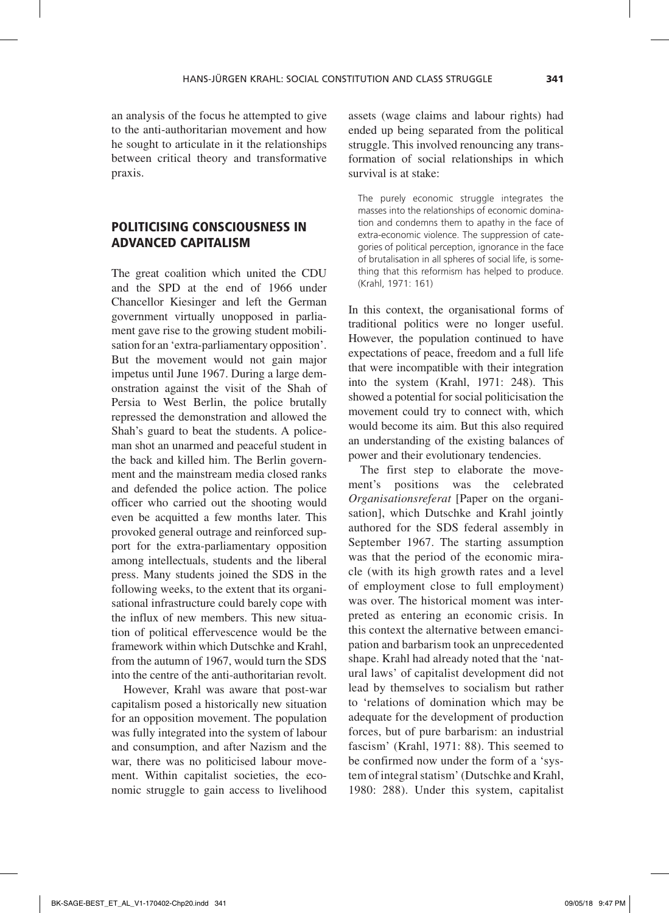an analysis of the focus he attempted to give to the anti-authoritarian movement and how he sought to articulate in it the relationships between critical theory and transformative praxis.

#### Politicising consciousness in advanced capitalism

The great coalition which united the CDU and the SPD at the end of 1966 under Chancellor Kiesinger and left the German government virtually unopposed in parliament gave rise to the growing student mobilisation for an 'extra-parliamentary opposition'. But the movement would not gain major impetus until June 1967. During a large demonstration against the visit of the Shah of Persia to West Berlin, the police brutally repressed the demonstration and allowed the Shah's guard to beat the students. A policeman shot an unarmed and peaceful student in the back and killed him. The Berlin government and the mainstream media closed ranks and defended the police action. The police officer who carried out the shooting would even be acquitted a few months later. This provoked general outrage and reinforced support for the extra-parliamentary opposition among intellectuals, students and the liberal press. Many students joined the SDS in the following weeks, to the extent that its organisational infrastructure could barely cope with the influx of new members. This new situation of political effervescence would be the framework within which Dutschke and Krahl, from the autumn of 1967, would turn the SDS into the centre of the anti-authoritarian revolt.

However, Krahl was aware that post-war capitalism posed a historically new situation for an opposition movement. The population was fully integrated into the system of labour and consumption, and after Nazism and the war, there was no politicised labour movement. Within capitalist societies, the economic struggle to gain access to livelihood assets (wage claims and labour rights) had ended up being separated from the political struggle. This involved renouncing any transformation of social relationships in which survival is at stake:

The purely economic struggle integrates the masses into the relationships of economic domination and condemns them to apathy in the face of extra-economic violence. The suppression of categories of political perception, ignorance in the face of brutalisation in all spheres of social life, is something that this reformism has helped to produce. (Krahl, 1971: 161)

In this context, the organisational forms of traditional politics were no longer useful. However, the population continued to have expectations of peace, freedom and a full life that were incompatible with their integration into the system (Krahl, 1971: 248). This showed a potential for social politicisation the movement could try to connect with, which would become its aim. But this also required an understanding of the existing balances of power and their evolutionary tendencies.

The first step to elaborate the movement's positions was the celebrated *Organisationsreferat* [Paper on the organisation], which Dutschke and Krahl jointly authored for the SDS federal assembly in September 1967. The starting assumption was that the period of the economic miracle (with its high growth rates and a level of employment close to full employment) was over. The historical moment was interpreted as entering an economic crisis. In this context the alternative between emancipation and barbarism took an unprecedented shape. Krahl had already noted that the 'natural laws' of capitalist development did not lead by themselves to socialism but rather to 'relations of domination which may be adequate for the development of production forces, but of pure barbarism: an industrial fascism' (Krahl, 1971: 88). This seemed to be confirmed now under the form of a 'system of integral statism' (Dutschke and Krahl, 1980: 288). Under this system, capitalist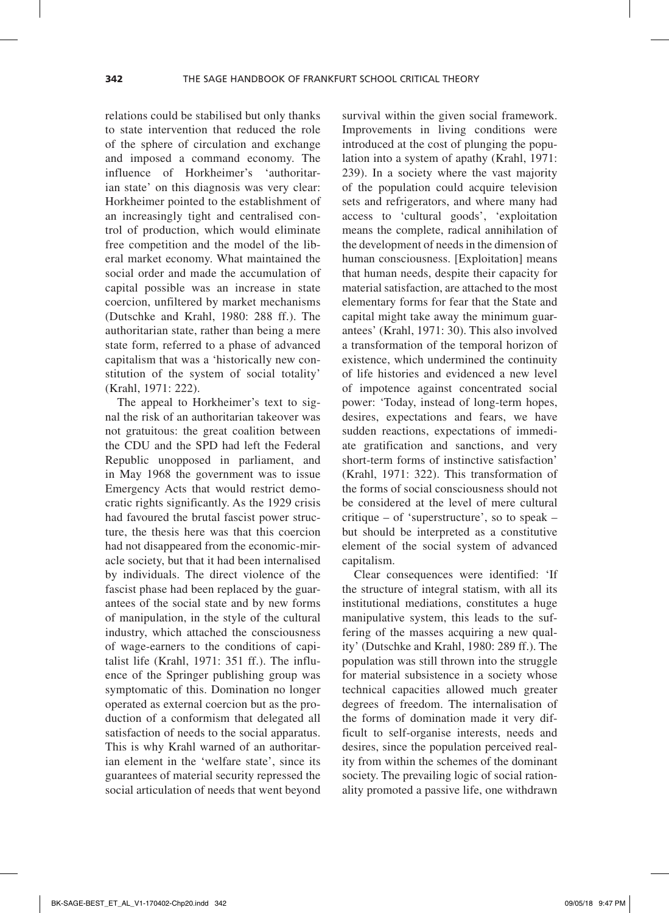relations could be stabilised but only thanks to state intervention that reduced the role of the sphere of circulation and exchange and imposed a command economy. The influence of Horkheimer's 'authoritarian state' on this diagnosis was very clear: Horkheimer pointed to the establishment of an increasingly tight and centralised control of production, which would eliminate free competition and the model of the liberal market economy. What maintained the social order and made the accumulation of capital possible was an increase in state coercion, unfiltered by market mechanisms (Dutschke and Krahl, 1980: 288 ff.). The authoritarian state, rather than being a mere state form, referred to a phase of advanced capitalism that was a 'historically new constitution of the system of social totality' (Krahl, 1971: 222).

The appeal to Horkheimer's text to signal the risk of an authoritarian takeover was not gratuitous: the great coalition between the CDU and the SPD had left the Federal Republic unopposed in parliament, and in May 1968 the government was to issue Emergency Acts that would restrict democratic rights significantly. As the 1929 crisis had favoured the brutal fascist power structure, the thesis here was that this coercion had not disappeared from the economic-miracle society, but that it had been internalised by individuals. The direct violence of the fascist phase had been replaced by the guarantees of the social state and by new forms of manipulation, in the style of the cultural industry, which attached the consciousness of wage-earners to the conditions of capitalist life (Krahl, 1971: 351 ff.). The influence of the Springer publishing group was symptomatic of this. Domination no longer operated as external coercion but as the production of a conformism that delegated all satisfaction of needs to the social apparatus. This is why Krahl warned of an authoritarian element in the 'welfare state', since its guarantees of material security repressed the social articulation of needs that went beyond

survival within the given social framework. Improvements in living conditions were introduced at the cost of plunging the population into a system of apathy (Krahl, 1971: 239). In a society where the vast majority of the population could acquire television sets and refrigerators, and where many had access to 'cultural goods', 'exploitation means the complete, radical annihilation of the development of needs in the dimension of human consciousness. [Exploitation] means that human needs, despite their capacity for material satisfaction, are attached to the most elementary forms for fear that the State and capital might take away the minimum guarantees' (Krahl, 1971: 30). This also involved a transformation of the temporal horizon of existence, which undermined the continuity of life histories and evidenced a new level of impotence against concentrated social power: 'Today, instead of long-term hopes, desires, expectations and fears, we have sudden reactions, expectations of immediate gratification and sanctions, and very short-term forms of instinctive satisfaction' (Krahl, 1971: 322). This transformation of the forms of social consciousness should not be considered at the level of mere cultural critique – of 'superstructure', so to speak – but should be interpreted as a constitutive element of the social system of advanced capitalism.

Clear consequences were identified: 'If the structure of integral statism, with all its institutional mediations, constitutes a huge manipulative system, this leads to the suffering of the masses acquiring a new quality' (Dutschke and Krahl, 1980: 289 ff.). The population was still thrown into the struggle for material subsistence in a society whose technical capacities allowed much greater degrees of freedom. The internalisation of the forms of domination made it very difficult to self-organise interests, needs and desires, since the population perceived reality from within the schemes of the dominant society. The prevailing logic of social rationality promoted a passive life, one withdrawn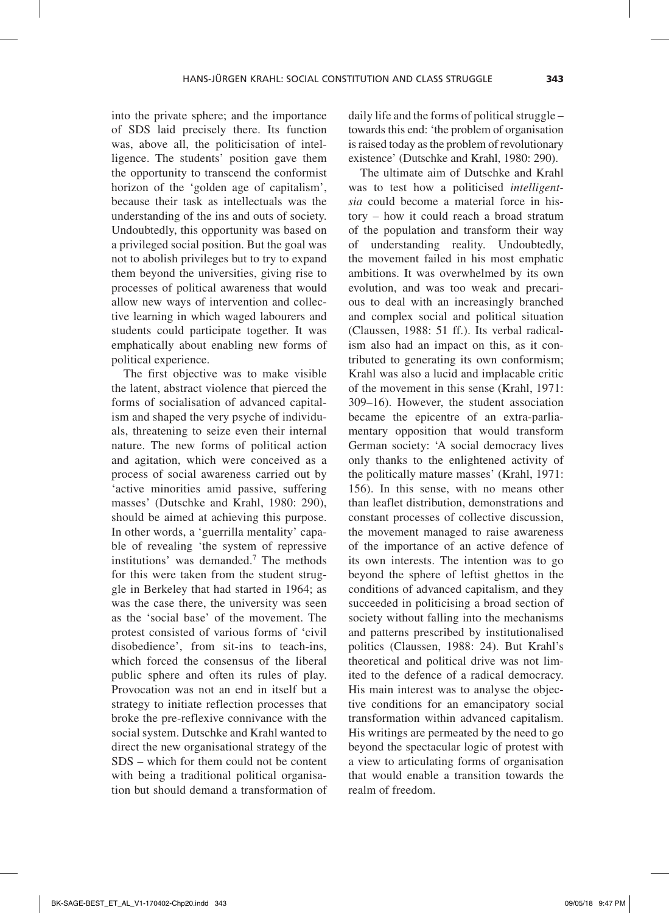into the private sphere; and the importance of SDS laid precisely there. Its function was, above all, the politicisation of intelligence. The students' position gave them the opportunity to transcend the conformist horizon of the 'golden age of capitalism', because their task as intellectuals was the understanding of the ins and outs of society. Undoubtedly, this opportunity was based on a privileged social position. But the goal was not to abolish privileges but to try to expand them beyond the universities, giving rise to processes of political awareness that would allow new ways of intervention and collective learning in which waged labourers and students could participate together. It was emphatically about enabling new forms of political experience.

The first objective was to make visible the latent, abstract violence that pierced the forms of socialisation of advanced capitalism and shaped the very psyche of individuals, threatening to seize even their internal nature. The new forms of political action and agitation, which were conceived as a process of social awareness carried out by 'active minorities amid passive, suffering masses' (Dutschke and Krahl, 1980: 290), should be aimed at achieving this purpose. In other words, a 'guerrilla mentality' capable of revealing 'the system of repressive institutions' was demanded.7 The methods for this were taken from the student struggle in Berkeley that had started in 1964; as was the case there, the university was seen as the 'social base' of the movement. The protest consisted of various forms of 'civil disobedience', from sit-ins to teach-ins, which forced the consensus of the liberal public sphere and often its rules of play. Provocation was not an end in itself but a strategy to initiate reflection processes that broke the pre-reflexive connivance with the social system. Dutschke and Krahl wanted to direct the new organisational strategy of the SDS – which for them could not be content with being a traditional political organisation but should demand a transformation of daily life and the forms of political struggle – towards this end: 'the problem of organisation is raised today as the problem of revolutionary existence' (Dutschke and Krahl, 1980: 290).

The ultimate aim of Dutschke and Krahl was to test how a politicised *intelligentsia* could become a material force in history – how it could reach a broad stratum of the population and transform their way of understanding reality. Undoubtedly, the movement failed in his most emphatic ambitions. It was overwhelmed by its own evolution, and was too weak and precarious to deal with an increasingly branched and complex social and political situation (Claussen, 1988: 51 ff.). Its verbal radicalism also had an impact on this, as it contributed to generating its own conformism; Krahl was also a lucid and implacable critic of the movement in this sense (Krahl, 1971: 309–16). However, the student association became the epicentre of an extra-parliamentary opposition that would transform German society: 'A social democracy lives only thanks to the enlightened activity of the politically mature masses' (Krahl, 1971: 156). In this sense, with no means other than leaflet distribution, demonstrations and constant processes of collective discussion, the movement managed to raise awareness of the importance of an active defence of its own interests. The intention was to go beyond the sphere of leftist ghettos in the conditions of advanced capitalism, and they succeeded in politicising a broad section of society without falling into the mechanisms and patterns prescribed by institutionalised politics (Claussen, 1988: 24). But Krahl's theoretical and political drive was not limited to the defence of a radical democracy. His main interest was to analyse the objective conditions for an emancipatory social transformation within advanced capitalism. His writings are permeated by the need to go beyond the spectacular logic of protest with a view to articulating forms of organisation that would enable a transition towards the realm of freedom.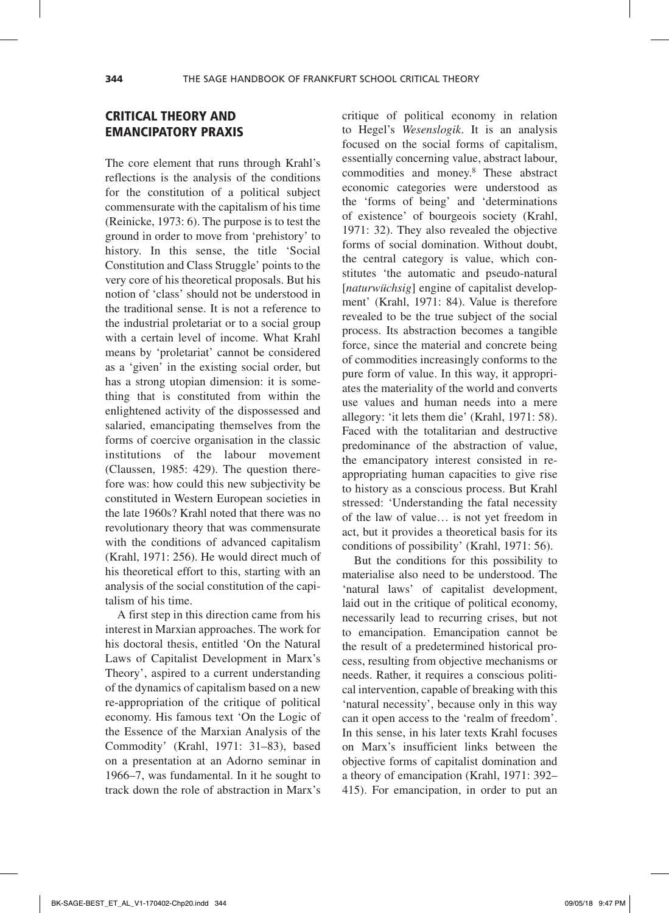### Critical theory and emancipatory praxis

The core element that runs through Krahl's reflections is the analysis of the conditions for the constitution of a political subject commensurate with the capitalism of his time (Reinicke, 1973: 6). The purpose is to test the ground in order to move from 'prehistory' to history. In this sense, the title 'Social Constitution and Class Struggle' points to the very core of his theoretical proposals. But his notion of 'class' should not be understood in the traditional sense. It is not a reference to the industrial proletariat or to a social group with a certain level of income. What Krahl means by 'proletariat' cannot be considered as a 'given' in the existing social order, but has a strong utopian dimension: it is something that is constituted from within the enlightened activity of the dispossessed and salaried, emancipating themselves from the forms of coercive organisation in the classic institutions of the labour movement (Claussen, 1985: 429). The question therefore was: how could this new subjectivity be constituted in Western European societies in the late 1960s? Krahl noted that there was no revolutionary theory that was commensurate with the conditions of advanced capitalism (Krahl, 1971: 256). He would direct much of his theoretical effort to this, starting with an analysis of the social constitution of the capitalism of his time.

A first step in this direction came from his interest in Marxian approaches. The work for his doctoral thesis, entitled 'On the Natural Laws of Capitalist Development in Marx's Theory', aspired to a current understanding of the dynamics of capitalism based on a new re-appropriation of the critique of political economy. His famous text 'On the Logic of the Essence of the Marxian Analysis of the Commodity' (Krahl, 1971: 31–83), based on a presentation at an Adorno seminar in 1966–7, was fundamental. In it he sought to track down the role of abstraction in Marx's

critique of political economy in relation to Hegel's *Wesenslogik*. It is an analysis focused on the social forms of capitalism, essentially concerning value, abstract labour, commodities and money.8 These abstract economic categories were understood as the 'forms of being' and 'determinations of existence' of bourgeois society (Krahl, 1971: 32). They also revealed the objective forms of social domination. Without doubt, the central category is value, which constitutes 'the automatic and pseudo-natural [*naturwüchsig*] engine of capitalist development' (Krahl, 1971: 84). Value is therefore revealed to be the true subject of the social process. Its abstraction becomes a tangible force, since the material and concrete being of commodities increasingly conforms to the pure form of value. In this way, it appropriates the materiality of the world and converts use values and human needs into a mere allegory: 'it lets them die' (Krahl, 1971: 58). Faced with the totalitarian and destructive predominance of the abstraction of value, the emancipatory interest consisted in reappropriating human capacities to give rise to history as a conscious process. But Krahl stressed: 'Understanding the fatal necessity of the law of value… is not yet freedom in act, but it provides a theoretical basis for its conditions of possibility' (Krahl, 1971: 56).

But the conditions for this possibility to materialise also need to be understood. The 'natural laws' of capitalist development, laid out in the critique of political economy, necessarily lead to recurring crises, but not to emancipation. Emancipation cannot be the result of a predetermined historical process, resulting from objective mechanisms or needs. Rather, it requires a conscious political intervention, capable of breaking with this 'natural necessity', because only in this way can it open access to the 'realm of freedom'. In this sense, in his later texts Krahl focuses on Marx's insufficient links between the objective forms of capitalist domination and a theory of emancipation (Krahl, 1971: 392– 415). For emancipation, in order to put an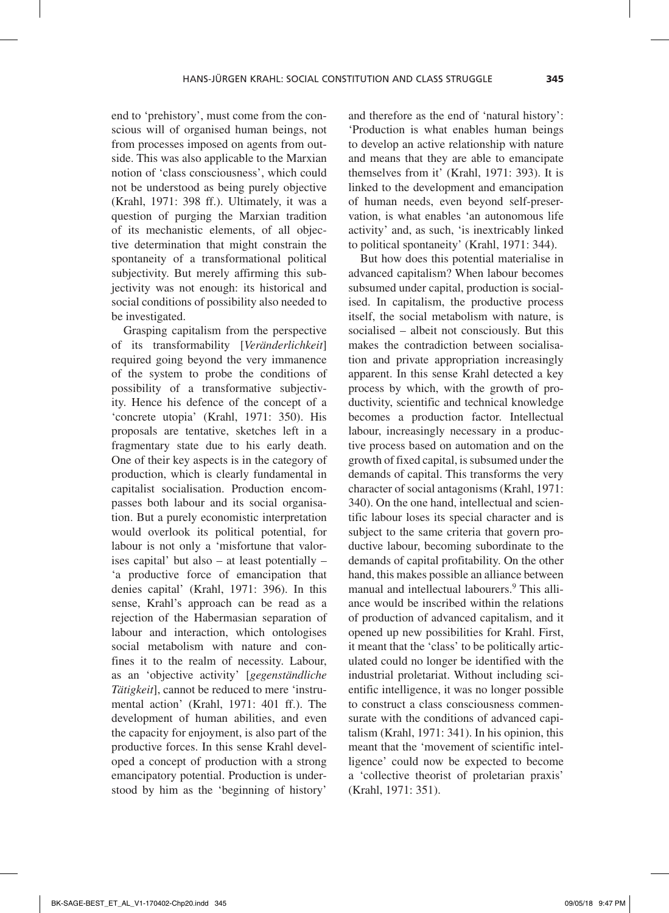end to 'prehistory', must come from the conscious will of organised human beings, not from processes imposed on agents from outside. This was also applicable to the Marxian notion of 'class consciousness', which could not be understood as being purely objective (Krahl, 1971: 398 ff.). Ultimately, it was a question of purging the Marxian tradition of its mechanistic elements, of all objective determination that might constrain the spontaneity of a transformational political subjectivity. But merely affirming this subjectivity was not enough: its historical and social conditions of possibility also needed to be investigated.

Grasping capitalism from the perspective of its transformability [*Veränderlichkeit*] required going beyond the very immanence of the system to probe the conditions of possibility of a transformative subjectivity. Hence his defence of the concept of a 'concrete utopia' (Krahl, 1971: 350). His proposals are tentative, sketches left in a fragmentary state due to his early death. One of their key aspects is in the category of production, which is clearly fundamental in capitalist socialisation. Production encompasses both labour and its social organisation. But a purely economistic interpretation would overlook its political potential, for labour is not only a 'misfortune that valorises capital' but also – at least potentially – 'a productive force of emancipation that denies capital' (Krahl, 1971: 396). In this sense, Krahl's approach can be read as a rejection of the Habermasian separation of labour and interaction, which ontologises social metabolism with nature and confines it to the realm of necessity. Labour, as an 'objective activity' [*gegenständliche Tätigkeit*], cannot be reduced to mere 'instrumental action' (Krahl, 1971: 401 ff.). The development of human abilities, and even the capacity for enjoyment, is also part of the productive forces. In this sense Krahl developed a concept of production with a strong emancipatory potential. Production is understood by him as the 'beginning of history'

and therefore as the end of 'natural history': 'Production is what enables human beings to develop an active relationship with nature and means that they are able to emancipate themselves from it' (Krahl, 1971: 393). It is linked to the development and emancipation of human needs, even beyond self-preservation, is what enables 'an autonomous life activity' and, as such, 'is inextricably linked to political spontaneity' (Krahl, 1971: 344).

But how does this potential materialise in advanced capitalism? When labour becomes subsumed under capital, production is socialised. In capitalism, the productive process itself, the social metabolism with nature, is socialised – albeit not consciously. But this makes the contradiction between socialisation and private appropriation increasingly apparent. In this sense Krahl detected a key process by which, with the growth of productivity, scientific and technical knowledge becomes a production factor. Intellectual labour, increasingly necessary in a productive process based on automation and on the growth of fixed capital, is subsumed under the demands of capital. This transforms the very character of social antagonisms (Krahl, 1971: 340). On the one hand, intellectual and scientific labour loses its special character and is subject to the same criteria that govern productive labour, becoming subordinate to the demands of capital profitability. On the other hand, this makes possible an alliance between manual and intellectual labourers.<sup>9</sup> This alliance would be inscribed within the relations of production of advanced capitalism, and it opened up new possibilities for Krahl. First, it meant that the 'class' to be politically articulated could no longer be identified with the industrial proletariat. Without including scientific intelligence, it was no longer possible to construct a class consciousness commensurate with the conditions of advanced capitalism (Krahl, 1971: 341). In his opinion, this meant that the 'movement of scientific intelligence' could now be expected to become a 'collective theorist of proletarian praxis' (Krahl, 1971: 351).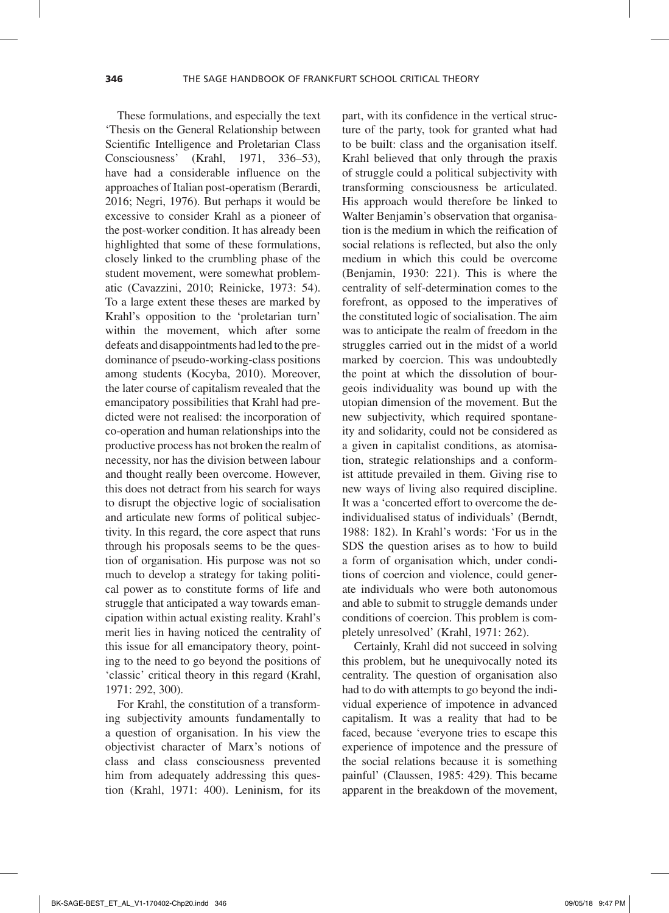These formulations, and especially the text 'Thesis on the General Relationship between Scientific Intelligence and Proletarian Class Consciousness' (Krahl, 1971, 336–53), have had a considerable influence on the approaches of Italian post-operatism (Berardi, 2016; Negri, 1976). But perhaps it would be excessive to consider Krahl as a pioneer of the post-worker condition. It has already been highlighted that some of these formulations, closely linked to the crumbling phase of the student movement, were somewhat problematic (Cavazzini, 2010; Reinicke, 1973: 54). To a large extent these theses are marked by Krahl's opposition to the 'proletarian turn' within the movement, which after some defeats and disappointments had led to the predominance of pseudo-working-class positions among students (Kocyba, 2010). Moreover, the later course of capitalism revealed that the emancipatory possibilities that Krahl had predicted were not realised: the incorporation of co-operation and human relationships into the productive process has not broken the realm of necessity, nor has the division between labour and thought really been overcome. However, this does not detract from his search for ways to disrupt the objective logic of socialisation and articulate new forms of political subjectivity. In this regard, the core aspect that runs through his proposals seems to be the question of organisation. His purpose was not so much to develop a strategy for taking political power as to constitute forms of life and struggle that anticipated a way towards emancipation within actual existing reality. Krahl's merit lies in having noticed the centrality of this issue for all emancipatory theory, pointing to the need to go beyond the positions of 'classic' critical theory in this regard (Krahl, 1971: 292, 300).

For Krahl, the constitution of a transforming subjectivity amounts fundamentally to a question of organisation. In his view the objectivist character of Marx's notions of class and class consciousness prevented him from adequately addressing this question (Krahl, 1971: 400). Leninism, for its

part, with its confidence in the vertical structure of the party, took for granted what had to be built: class and the organisation itself. Krahl believed that only through the praxis of struggle could a political subjectivity with transforming consciousness be articulated. His approach would therefore be linked to Walter Benjamin's observation that organisation is the medium in which the reification of social relations is reflected, but also the only medium in which this could be overcome (Benjamin, 1930: 221). This is where the centrality of self-determination comes to the forefront, as opposed to the imperatives of the constituted logic of socialisation. The aim was to anticipate the realm of freedom in the struggles carried out in the midst of a world marked by coercion. This was undoubtedly the point at which the dissolution of bourgeois individuality was bound up with the utopian dimension of the movement. But the new subjectivity, which required spontaneity and solidarity, could not be considered as a given in capitalist conditions, as atomisation, strategic relationships and a conformist attitude prevailed in them. Giving rise to new ways of living also required discipline. It was a 'concerted effort to overcome the deindividualised status of individuals' (Berndt, 1988: 182). In Krahl's words: 'For us in the SDS the question arises as to how to build a form of organisation which, under conditions of coercion and violence, could generate individuals who were both autonomous and able to submit to struggle demands under conditions of coercion. This problem is completely unresolved' (Krahl, 1971: 262).

Certainly, Krahl did not succeed in solving this problem, but he unequivocally noted its centrality. The question of organisation also had to do with attempts to go beyond the individual experience of impotence in advanced capitalism. It was a reality that had to be faced, because 'everyone tries to escape this experience of impotence and the pressure of the social relations because it is something painful' (Claussen, 1985: 429). This became apparent in the breakdown of the movement,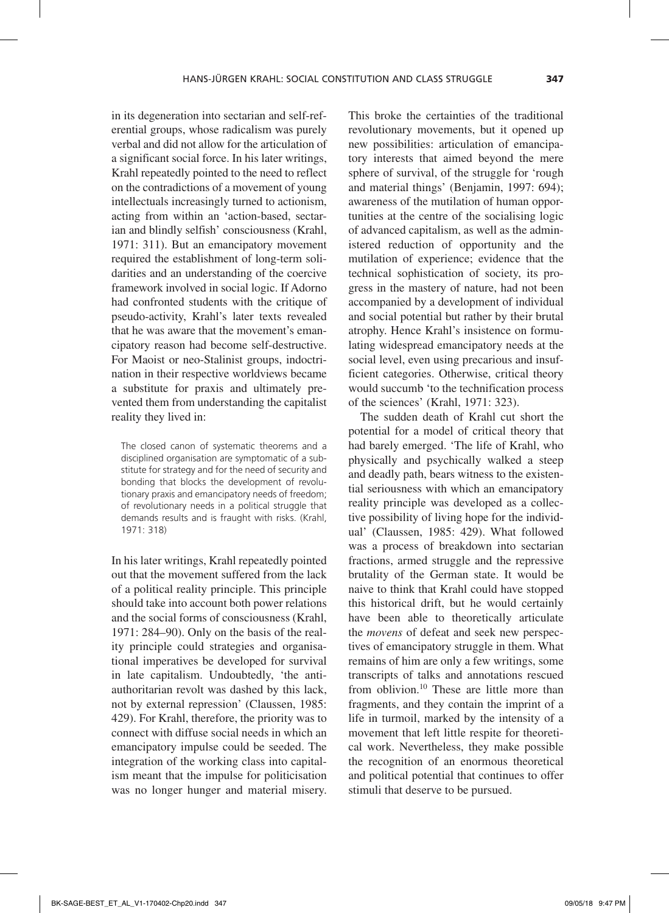in its degeneration into sectarian and self-referential groups, whose radicalism was purely verbal and did not allow for the articulation of a significant social force. In his later writings, Krahl repeatedly pointed to the need to reflect on the contradictions of a movement of young intellectuals increasingly turned to actionism, acting from within an 'action-based, sectarian and blindly selfish' consciousness (Krahl, 1971: 311). But an emancipatory movement required the establishment of long-term solidarities and an understanding of the coercive framework involved in social logic. If Adorno had confronted students with the critique of pseudo-activity, Krahl's later texts revealed that he was aware that the movement's emancipatory reason had become self-destructive. For Maoist or neo-Stalinist groups, indoctrination in their respective worldviews became a substitute for praxis and ultimately prevented them from understanding the capitalist reality they lived in:

The closed canon of systematic theorems and a disciplined organisation are symptomatic of a substitute for strategy and for the need of security and bonding that blocks the development of revolutionary praxis and emancipatory needs of freedom; of revolutionary needs in a political struggle that demands results and is fraught with risks. (Krahl, 1971: 318)

In his later writings, Krahl repeatedly pointed out that the movement suffered from the lack of a political reality principle. This principle should take into account both power relations and the social forms of consciousness (Krahl, 1971: 284–90). Only on the basis of the reality principle could strategies and organisational imperatives be developed for survival in late capitalism. Undoubtedly, 'the antiauthoritarian revolt was dashed by this lack, not by external repression' (Claussen, 1985: 429). For Krahl, therefore, the priority was to connect with diffuse social needs in which an emancipatory impulse could be seeded. The integration of the working class into capitalism meant that the impulse for politicisation was no longer hunger and material misery. This broke the certainties of the traditional revolutionary movements, but it opened up new possibilities: articulation of emancipatory interests that aimed beyond the mere sphere of survival, of the struggle for 'rough and material things' (Benjamin, 1997: 694); awareness of the mutilation of human opportunities at the centre of the socialising logic of advanced capitalism, as well as the administered reduction of opportunity and the mutilation of experience; evidence that the technical sophistication of society, its progress in the mastery of nature, had not been accompanied by a development of individual and social potential but rather by their brutal atrophy. Hence Krahl's insistence on formulating widespread emancipatory needs at the social level, even using precarious and insufficient categories. Otherwise, critical theory would succumb 'to the technification process of the sciences' (Krahl, 1971: 323).

The sudden death of Krahl cut short the potential for a model of critical theory that had barely emerged. 'The life of Krahl, who physically and psychically walked a steep and deadly path, bears witness to the existential seriousness with which an emancipatory reality principle was developed as a collective possibility of living hope for the individual' (Claussen, 1985: 429). What followed was a process of breakdown into sectarian fractions, armed struggle and the repressive brutality of the German state. It would be naive to think that Krahl could have stopped this historical drift, but he would certainly have been able to theoretically articulate the *movens* of defeat and seek new perspectives of emancipatory struggle in them. What remains of him are only a few writings, some transcripts of talks and annotations rescued from oblivion.<sup>10</sup> These are little more than fragments, and they contain the imprint of a life in turmoil, marked by the intensity of a movement that left little respite for theoretical work. Nevertheless, they make possible the recognition of an enormous theoretical and political potential that continues to offer stimuli that deserve to be pursued.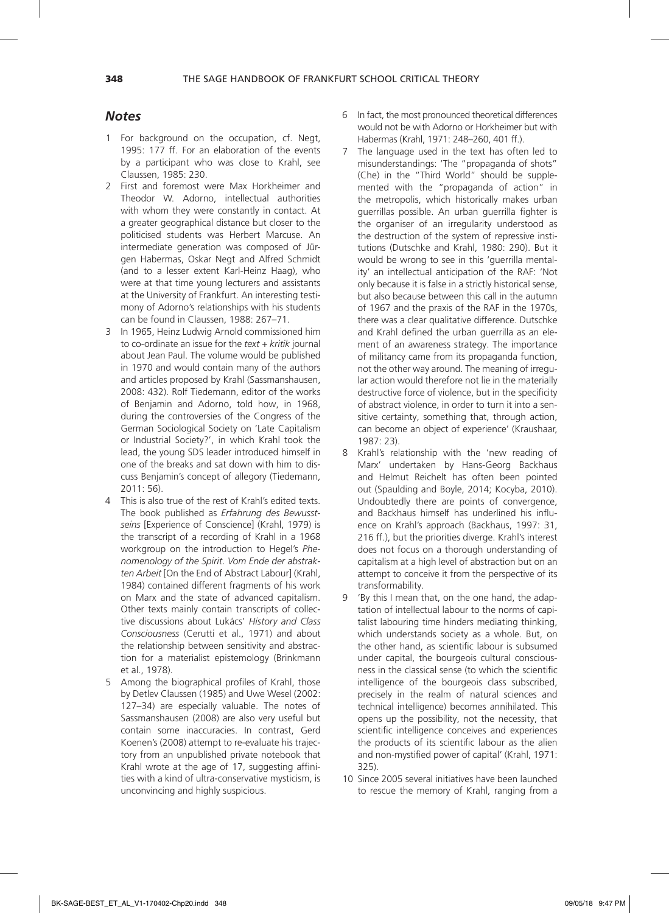#### *Notes*

- 1 For background on the occupation, cf. Negt, 1995: 177 ff. For an elaboration of the events by a participant who was close to Krahl, see Claussen, 1985: 230.
- 2 First and foremost were Max Horkheimer and Theodor W. Adorno, intellectual authorities with whom they were constantly in contact. At a greater geographical distance but closer to the politicised students was Herbert Marcuse. An intermediate generation was composed of Jürgen Habermas, Oskar Negt and Alfred Schmidt (and to a lesser extent Karl-Heinz Haag), who were at that time young lecturers and assistants at the University of Frankfurt. An interesting testimony of Adorno's relationships with his students can be found in Claussen, 1988: 267–71.
- 3 In 1965, Heinz Ludwig Arnold commissioned him to co-ordinate an issue for the *text + kritik* journal about Jean Paul. The volume would be published in 1970 and would contain many of the authors and articles proposed by Krahl (Sassmanshausen, 2008: 432). Rolf Tiedemann, editor of the works of Benjamin and Adorno, told how, in 1968, during the controversies of the Congress of the German Sociological Society on 'Late Capitalism or Industrial Society?', in which Krahl took the lead, the young SDS leader introduced himself in one of the breaks and sat down with him to discuss Benjamin's concept of allegory (Tiedemann, 2011: 56).
- 4 This is also true of the rest of Krahl's edited texts. The book published as *Erfahrung des Bewusstseins* [Experience of Conscience] (Krahl, 1979) is the transcript of a recording of Krahl in a 1968 workgroup on the introduction to Hegel's *Phenomenology of the Spirit*. *Vom Ende der abstrakten Arbeit* [On the End of Abstract Labour] (Krahl, 1984) contained different fragments of his work on Marx and the state of advanced capitalism. Other texts mainly contain transcripts of collective discussions about Lukács' *History and Class Consciousness* (Cerutti et al., 1971) and about the relationship between sensitivity and abstraction for a materialist epistemology (Brinkmann et al., 1978).
- Among the biographical profiles of Krahl, those by Detlev Claussen (1985) and Uwe Wesel (2002: 127–34) are especially valuable. The notes of Sassmanshausen (2008) are also very useful but contain some inaccuracies. In contrast, Gerd Koenen's (2008) attempt to re-evaluate his trajectory from an unpublished private notebook that Krahl wrote at the age of 17, suggesting affinities with a kind of ultra-conservative mysticism, is unconvincing and highly suspicious.
- 6 In fact, the most pronounced theoretical differences would not be with Adorno or Horkheimer but with Habermas (Krahl, 1971: 248–260, 401 ff.).
- The language used in the text has often led to misunderstandings: 'The "propaganda of shots" (Che) in the "Third World" should be supplemented with the "propaganda of action" in the metropolis, which historically makes urban guerrillas possible. An urban guerrilla fighter is the organiser of an irregularity understood as the destruction of the system of repressive institutions (Dutschke and Krahl, 1980: 290). But it would be wrong to see in this 'guerrilla mentality' an intellectual anticipation of the RAF: 'Not only because it is false in a strictly historical sense, but also because between this call in the autumn of 1967 and the praxis of the RAF in the 1970s, there was a clear qualitative difference. Dutschke and Krahl defined the urban guerrilla as an element of an awareness strategy. The importance of militancy came from its propaganda function, not the other way around. The meaning of irregular action would therefore not lie in the materially destructive force of violence, but in the specificity of abstract violence, in order to turn it into a sensitive certainty, something that, through action, can become an object of experience' (Kraushaar, 1987: 23).
- 8 Krahl's relationship with the 'new reading of Marx' undertaken by Hans-Georg Backhaus and Helmut Reichelt has often been pointed out (Spaulding and Boyle, 2014; Kocyba, 2010). Undoubtedly there are points of convergence, and Backhaus himself has underlined his influence on Krahl's approach (Backhaus, 1997: 31, 216 ff.), but the priorities diverge. Krahl's interest does not focus on a thorough understanding of capitalism at a high level of abstraction but on an attempt to conceive it from the perspective of its transformability.
- 9 'By this I mean that, on the one hand, the adaptation of intellectual labour to the norms of capitalist labouring time hinders mediating thinking, which understands society as a whole. But, on the other hand, as scientific labour is subsumed under capital, the bourgeois cultural consciousness in the classical sense (to which the scientific intelligence of the bourgeois class subscribed, precisely in the realm of natural sciences and technical intelligence) becomes annihilated. This opens up the possibility, not the necessity, that scientific intelligence conceives and experiences the products of its scientific labour as the alien and non-mystified power of capital' (Krahl, 1971: 325).
- 10 Since 2005 several initiatives have been launched to rescue the memory of Krahl, ranging from a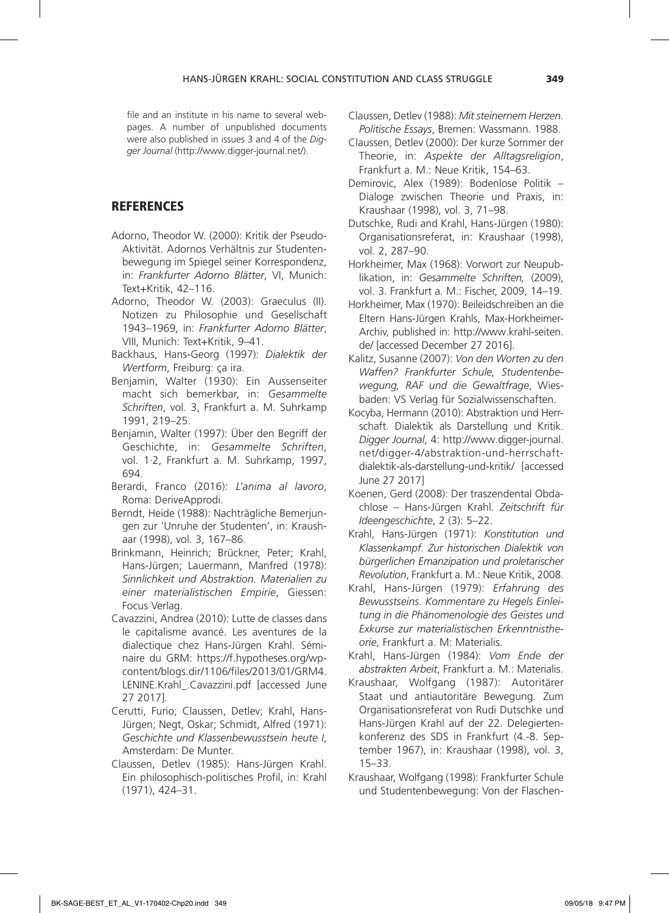file and an institute in his name to several webpages. A number of unpublished documents were also published in issues 3 and 4 of the *Digger Journal* (http://www.digger-journal.net/).

#### **REFERENCES**

- Adorno, Theodor W. (2000): Kritik der Pseudo-Aktivität. Adornos Verhältnis zur Studentenbewegung im Spiegel seiner Korrespondenz, in: *Frankfurter Adorno Blätter*, VI, Munich: Text+Kritik, 42–116.
- Adorno, Theodor W. (2003): Graeculus (II). Notizen zu Philosophie und Gesellschaft 1943–1969, in: *Frankfurter Adorno Blätter*, VIII, Munich: Text+Kritik, 9–41.
- Backhaus, Hans-Georg (1997): *Dialektik der Wertform*, Freiburg: ça ira.
- Benjamin, Walter (1930): Ein Aussenseiter macht sich bemerkbar, in: *Gesammelte Schriften*, vol. 3, Frankfurt a. M. Suhrkamp 1991, 219–25.
- Benjamin, Walter (1997): Über den Begriff der Geschichte, in: *Gesammelte Schriften*, vol. 1·2, Frankfurt a. M. Suhrkamp, 1997, 694.
- Berardi, Franco (2016): *L'anima al lavoro*, Roma: DeriveApprodi.
- Berndt, Heide (1988): Nachträgliche Bemerjungen zur 'Unruhe der Studenten', in: Kraushaar (1998), vol. 3, 167–86.
- Brinkmann, Heinrich; Brückner, Peter; Krahl, Hans-Jürgen; Lauermann, Manfred (1978): *Sinnlichkeit und Abstraktion. Materialien zu einer materialistischen Empirie*, Giessen: Focus Verlag.
- Cavazzini, Andrea (2010): Lutte de classes dans le capitalisme avancé. Les aventures de la dialectique chez Hans-Jürgen Krahl. Séminaire du GRM: https://f.hypotheses.org/wpcontent/blogs.dir/1106/files/2013/01/GRM4. LENINE.Krahl\_.Cavazzini.pdf [accessed June 27 2017].
- Cerutti, Furio; Claussen, Detlev; Krahl, Hans-Jürgen; Negt, Oskar; Schmidt, Alfred (1971): *Geschichte und Klassenbewusstsein heute I*, Amsterdam: De Munter.
- Claussen, Detlev (1985): Hans-Jürgen Krahl. Ein philosophisch-politisches Profil, in: Krahl (1971), 424–31.
- Claussen, Detlev (1988): *Mit steinernem Herzen. Politische Essays*, Bremen: Wassmann. 1988.
- Claussen, Detlev (2000): Der kurze Sommer der Theorie, in: *Aspekte der Alltagsreligion*, Frankfurt a. M.: Neue Kritik, 154–63.
- Demirovic, Alex (1989): Bodenlose Politik Dialoge zwischen Theorie und Praxis, in: Kraushaar (1998), vol. 3, 71–98.
- Dutschke, Rudi and Krahl, Hans-Jürgen (1980): Organisationsreferat, in: Kraushaar (1998), vol. 2, 287–90.
- Horkheimer, Max (1968): Vorwort zur Neupublikation, in: *Gesammelte Schriften,* (2009), vol. 3. Frankfurt a. M.: Fischer, 2009, 14–19.
- Horkheimer, Max (1970): Beileidschreiben an die Eltern Hans-Jürgen Krahls, Max-Horkheimer-Archiv, published in: http://www.krahl-seiten. de/ [accessed December 27 2016].
- Kalitz, Susanne (2007): *Von den Worten zu den Waffen? Frankfurter Schule, Studentenbewegung, RAF und die Gewaltfrage*, Wiesbaden: VS Verlag für Sozialwissenschaften.
- Kocyba, Hermann (2010): Abstraktion und Herrschaft. Dialektik als Darstellung und Kritik. *Digger Journal*, 4: http://www.digger-journal. net/digger-4/abstraktion-und-herrschaftdialektik-als-darstellung-und-kritik/ [accessed June 27 2017]
- Koenen, Gerd (2008): Der traszendental Obdachlose – Hans-Jürgen Krahl. *Zeitschrift für Ideengeschichte*, 2 (3): 5–22.
- Krahl, Hans-Jürgen (1971): *Konstitution und Klassenkampf. Zur historischen Dialektik von bürgerlichen Emanzipation und proletarischer Revolution*, Frankfurt a. M.: Neue Kritik, 2008.
- Krahl, Hans-Jürgen (1979): *Erfahrung des Bewusstseins. Kommentare zu Hegels Einleitung in die Phänomenologie des Geistes und Exkurse zur materialistischen Erkenntnistheorie*, Frankfurt a. M: Materialis.
- Krahl, Hans-Jürgen (1984): *Vom Ende der abstrakten Arbeit*, Frankfurt a. M.: Materialis.
- Kraushaar, Wolfgang (1987): Autoritärer Staat und antiautoritäre Bewegung. Zum Organisationsreferat von Rudi Dutschke und Hans-Jürgen Krahl auf der 22. Delegiertenkonferenz des SDS in Frankfurt (4.-8. September 1967), in: Kraushaar (1998), vol. 3, 15–33.
- Kraushaar, Wolfgang (1998): Frankfurter Schule und Studentenbewegung: Von der Flaschen-